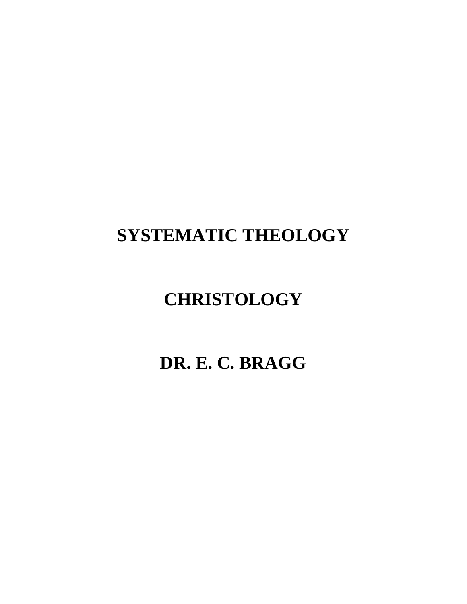# **SYSTEMATIC THEOLOGY**

# **CHRISTOLOGY**

# **DR. E. C. BRAGG**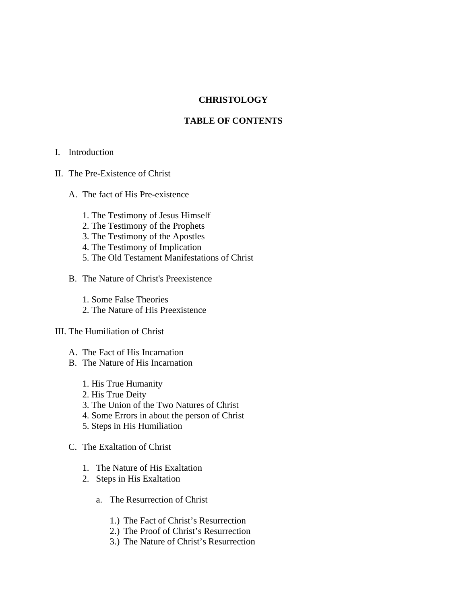# **CHRISTOLOGY**

# **TABLE OF CONTENTS**

- I. Introduction
- II. The Pre-Existence of Christ
	- A. The fact of His Pre-existence
		- 1. The Testimony of Jesus Himself
		- 2. The Testimony of the Prophets
		- 3. The Testimony of the Apostles
		- 4. The Testimony of Implication
		- 5. The Old Testament Manifestations of Christ
	- B. The Nature of Christ's Preexistence
		- 1. Some False Theories
		- 2. The Nature of His Preexistence

# III. The Humiliation of Christ

- A. The Fact of His Incarnation
- B. The Nature of His Incarnation
	- 1. His True Humanity
	- 2. His True Deity
	- 3. The Union of the Two Natures of Christ
	- 4. Some Errors in about the person of Christ
	- 5. Steps in His Humiliation
- C. The Exaltation of Christ
	- 1. The Nature of His Exaltation
	- 2. Steps in His Exaltation
		- a. The Resurrection of Christ
			- 1.) The Fact of Christ's Resurrection
			- 2.) The Proof of Christ's Resurrection
			- 3.) The Nature of Christ's Resurrection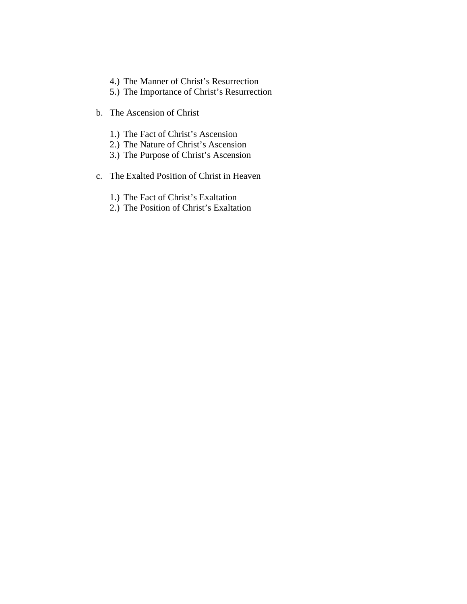- 4.) The Manner of Christ's Resurrection
- 5.) The Importance of Christ's Resurrection
- b. The Ascension of Christ
	- 1.) The Fact of Christ's Ascension
	- 2.) The Nature of Christ's Ascension
	- 3.) The Purpose of Christ's Ascension
- c. The Exalted Position of Christ in Heaven
	- 1.) The Fact of Christ's Exaltation
	- 2.) The Position of Christ's Exaltation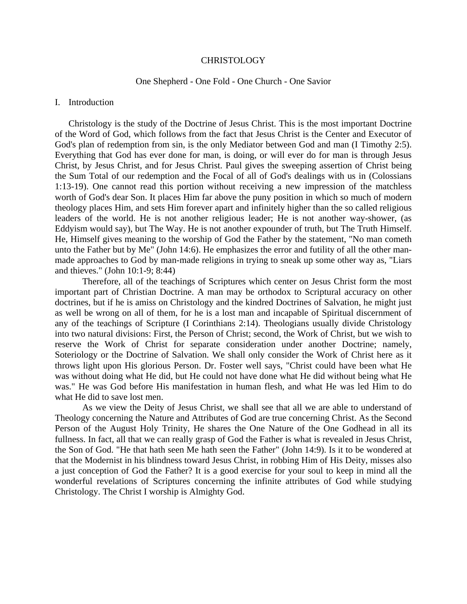### CHRISTOLOGY

## One Shepherd - One Fold - One Church - One Savior

#### I. Introduction

 Christology is the study of the Doctrine of Jesus Christ. This is the most important Doctrine of the Word of God, which follows from the fact that Jesus Christ is the Center and Executor of God's plan of redemption from sin, is the only Mediator between God and man (I Timothy 2:5). Everything that God has ever done for man, is doing, or will ever do for man is through Jesus Christ, by Jesus Christ, and for Jesus Christ. Paul gives the sweeping assertion of Christ being the Sum Total of our redemption and the Focal of all of God's dealings with us in (Colossians 1:13-19). One cannot read this portion without receiving a new impression of the matchless worth of God's dear Son. It places Him far above the puny position in which so much of modern theology places Him, and sets Him forever apart and infinitely higher than the so called religious leaders of the world. He is not another religious leader; He is not another way-shower, (as Eddyism would say), but The Way. He is not another expounder of truth, but The Truth Himself. He, Himself gives meaning to the worship of God the Father by the statement, "No man cometh unto the Father but by Me" (John 14:6). He emphasizes the error and futility of all the other manmade approaches to God by man-made religions in trying to sneak up some other way as, "Liars and thieves." (John 10:1-9; 8:44)

Therefore, all of the teachings of Scriptures which center on Jesus Christ form the most important part of Christian Doctrine. A man may be orthodox to Scriptural accuracy on other doctrines, but if he is amiss on Christology and the kindred Doctrines of Salvation, he might just as well be wrong on all of them, for he is a lost man and incapable of Spiritual discernment of any of the teachings of Scripture (I Corinthians 2:14). Theologians usually divide Christology into two natural divisions: First, the Person of Christ; second, the Work of Christ, but we wish to reserve the Work of Christ for separate consideration under another Doctrine; namely, Soteriology or the Doctrine of Salvation. We shall only consider the Work of Christ here as it throws light upon His glorious Person. Dr. Foster well says, "Christ could have been what He was without doing what He did, but He could not have done what He did without being what He was." He was God before His manifestation in human flesh, and what He was led Him to do what He did to save lost men.

As we view the Deity of Jesus Christ, we shall see that all we are able to understand of Theology concerning the Nature and Attributes of God are true concerning Christ. As the Second Person of the August Holy Trinity, He shares the One Nature of the One Godhead in all its fullness. In fact, all that we can really grasp of God the Father is what is revealed in Jesus Christ, the Son of God. "He that hath seen Me hath seen the Father" (John 14:9). Is it to be wondered at that the Modernist in his blindness toward Jesus Christ, in robbing Him of His Deity, misses also a just conception of God the Father? It is a good exercise for your soul to keep in mind all the wonderful revelations of Scriptures concerning the infinite attributes of God while studying Christology. The Christ I worship is Almighty God.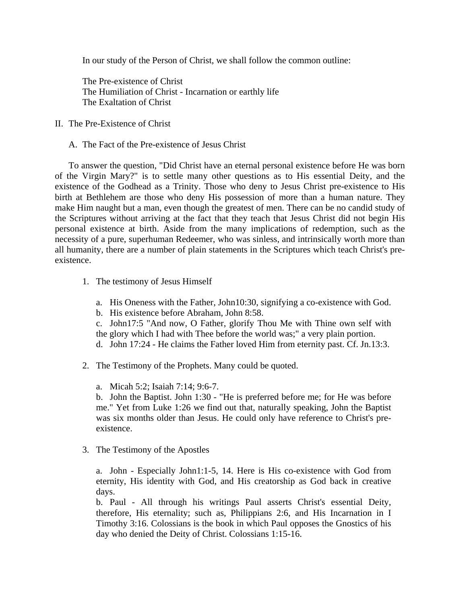In our study of the Person of Christ, we shall follow the common outline:

The Pre-existence of Christ The Humiliation of Christ - Incarnation or earthly life The Exaltation of Christ

- II. The Pre-Existence of Christ
	- A. The Fact of the Pre-existence of Jesus Christ

 To answer the question, "Did Christ have an eternal personal existence before He was born of the Virgin Mary?" is to settle many other questions as to His essential Deity, and the existence of the Godhead as a Trinity. Those who deny to Jesus Christ pre-existence to His birth at Bethlehem are those who deny His possession of more than a human nature. They make Him naught but a man, even though the greatest of men. There can be no candid study of the Scriptures without arriving at the fact that they teach that Jesus Christ did not begin His personal existence at birth. Aside from the many implications of redemption, such as the necessity of a pure, superhuman Redeemer, who was sinless, and intrinsically worth more than all humanity, there are a number of plain statements in the Scriptures which teach Christ's preexistence.

- 1. The testimony of Jesus Himself
	- a. His Oneness with the Father, John10:30, signifying a co-existence with God.
	- b. His existence before Abraham, John 8:58.
	- c. John17:5 "And now, O Father, glorify Thou Me with Thine own self with the glory which I had with Thee before the world was;" a very plain portion.
	- d. John 17:24 He claims the Father loved Him from eternity past. Cf. Jn.13:3.
- 2. The Testimony of the Prophets. Many could be quoted.
	- a. Micah 5:2; Isaiah 7:14; 9:6-7.

b. John the Baptist. John 1:30 - "He is preferred before me; for He was before me." Yet from Luke 1:26 we find out that, naturally speaking, John the Baptist was six months older than Jesus. He could only have reference to Christ's preexistence.

3. The Testimony of the Apostles

a. John - Especially John1:1-5, 14. Here is His co-existence with God from eternity, His identity with God, and His creatorship as God back in creative days.

b. Paul - All through his writings Paul asserts Christ's essential Deity, therefore, His eternality; such as, Philippians 2:6, and His Incarnation in I Timothy 3:16. Colossians is the book in which Paul opposes the Gnostics of his day who denied the Deity of Christ. Colossians 1:15-16.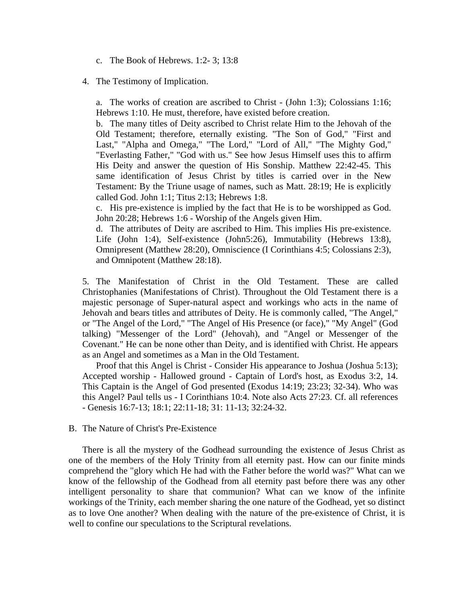c. The Book of Hebrews. 1:2- 3; 13:8

## 4. The Testimony of Implication.

a. The works of creation are ascribed to Christ - (John 1:3); Colossians 1:16; Hebrews 1:10. He must, therefore, have existed before creation.

b. The many titles of Deity ascribed to Christ relate Him to the Jehovah of the Old Testament; therefore, eternally existing. "The Son of God," "First and Last," "Alpha and Omega," "The Lord," "Lord of All," "The Mighty God," "Everlasting Father," "God with us." See how Jesus Himself uses this to affirm His Deity and answer the question of His Sonship. Matthew 22:42-45. This same identification of Jesus Christ by titles is carried over in the New Testament: By the Triune usage of names, such as Matt. 28:19; He is explicitly called God. John 1:1; Titus 2:13; Hebrews 1:8.

c. His pre-existence is implied by the fact that He is to be worshipped as God. John 20:28; Hebrews 1:6 - Worship of the Angels given Him.

d. The attributes of Deity are ascribed to Him. This implies His pre-existence. Life (John 1:4), Self-existence (John5:26), Immutability (Hebrews 13:8), Omnipresent (Matthew 28:20), Omniscience (I Corinthians 4:5; Colossians 2:3), and Omnipotent (Matthew 28:18).

5. The Manifestation of Christ in the Old Testament. These are called Christophanies (Manifestations of Christ). Throughout the Old Testament there is a majestic personage of Super-natural aspect and workings who acts in the name of Jehovah and bears titles and attributes of Deity. He is commonly called, "The Angel," or "The Angel of the Lord," "The Angel of His Presence (or face)," "My Angel" (God talking) "Messenger of the Lord" (Jehovah), and "Angel or Messenger of the Covenant." He can be none other than Deity, and is identified with Christ. He appears as an Angel and sometimes as a Man in the Old Testament.

 Proof that this Angel is Christ - Consider His appearance to Joshua (Joshua 5:13); Accepted worship - Hallowed ground - Captain of Lord's host, as Exodus 3:2, 14. This Captain is the Angel of God presented (Exodus 14:19; 23:23; 32-34). Who was this Angel? Paul tells us - I Corinthians 10:4. Note also Acts 27:23. Cf. all references - Genesis 16:7-13; 18:1; 22:11-18; 31: 11-13; 32:24-32.

## B. The Nature of Christ's Pre-Existence

 There is all the mystery of the Godhead surrounding the existence of Jesus Christ as one of the members of the Holy Trinity from all eternity past. How can our finite minds comprehend the "glory which He had with the Father before the world was?" What can we know of the fellowship of the Godhead from all eternity past before there was any other intelligent personality to share that communion? What can we know of the infinite workings of the Trinity, each member sharing the one nature of the Godhead, yet so distinct as to love One another? When dealing with the nature of the pre-existence of Christ, it is well to confine our speculations to the Scriptural revelations.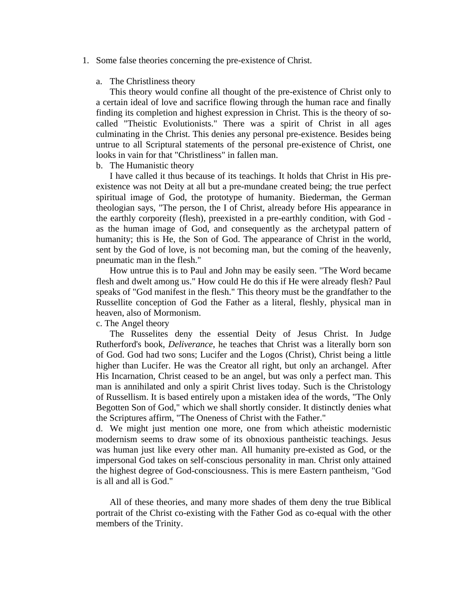1. Some false theories concerning the pre-existence of Christ.

## a. The Christliness theory

 This theory would confine all thought of the pre-existence of Christ only to a certain ideal of love and sacrifice flowing through the human race and finally finding its completion and highest expression in Christ. This is the theory of socalled "Theistic Evolutionists." There was a spirit of Christ in all ages culminating in the Christ. This denies any personal pre-existence. Besides being untrue to all Scriptural statements of the personal pre-existence of Christ, one looks in vain for that "Christliness" in fallen man.

# b. The Humanistic theory

 I have called it thus because of its teachings. It holds that Christ in His preexistence was not Deity at all but a pre-mundane created being; the true perfect spiritual image of God, the prototype of humanity. Biederman, the German theologian says, "The person, the I of Christ, already before His appearance in the earthly corporeity (flesh), preexisted in a pre-earthly condition, with God as the human image of God, and consequently as the archetypal pattern of humanity; this is He, the Son of God. The appearance of Christ in the world, sent by the God of love, is not becoming man, but the coming of the heavenly, pneumatic man in the flesh."

 How untrue this is to Paul and John may be easily seen. "The Word became flesh and dwelt among us." How could He do this if He were already flesh? Paul speaks of "God manifest in the flesh." This theory must be the grandfather to the Russellite conception of God the Father as a literal, fleshly, physical man in heaven, also of Mormonism.

c. The Angel theory

 The Russelites deny the essential Deity of Jesus Christ. In Judge Rutherford's book, *Deliverance*, he teaches that Christ was a literally born son of God. God had two sons; Lucifer and the Logos (Christ), Christ being a little higher than Lucifer. He was the Creator all right, but only an archangel. After His Incarnation, Christ ceased to be an angel, but was only a perfect man. This man is annihilated and only a spirit Christ lives today. Such is the Christology of Russellism. It is based entirely upon a mistaken idea of the words, "The Only Begotten Son of God," which we shall shortly consider. It distinctly denies what the Scriptures affirm, "The Oneness of Christ with the Father."

d. We might just mention one more, one from which atheistic modernistic modernism seems to draw some of its obnoxious pantheistic teachings. Jesus was human just like every other man. All humanity pre-existed as God, or the impersonal God takes on self-conscious personality in man. Christ only attained the highest degree of God-consciousness. This is mere Eastern pantheism, "God is all and all is God."

 All of these theories, and many more shades of them deny the true Biblical portrait of the Christ co-existing with the Father God as co-equal with the other members of the Trinity.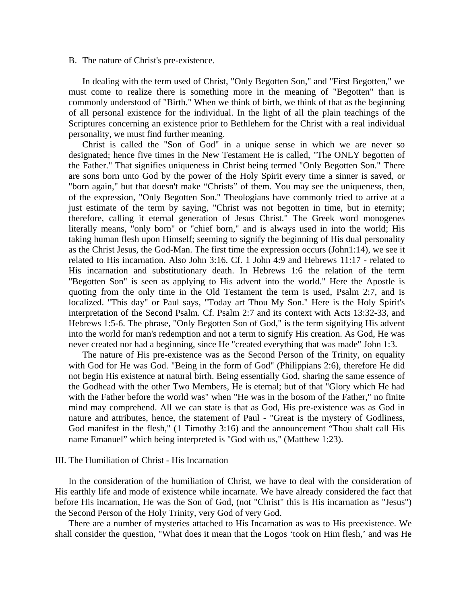#### B. The nature of Christ's pre-existence.

 In dealing with the term used of Christ, "Only Begotten Son," and "First Begotten," we must come to realize there is something more in the meaning of "Begotten" than is commonly understood of "Birth." When we think of birth, we think of that as the beginning of all personal existence for the individual. In the light of all the plain teachings of the Scriptures concerning an existence prior to Bethlehem for the Christ with a real individual personality, we must find further meaning.

 Christ is called the "Son of God" in a unique sense in which we are never so designated; hence five times in the New Testament He is called, "The ONLY begotten of the Father." That signifies uniqueness in Christ being termed "Only Begotten Son." There are sons born unto God by the power of the Holy Spirit every time a sinner is saved, or "born again," but that doesn't make "Christs" of them. You may see the uniqueness, then, of the expression, "Only Begotten Son." Theologians have commonly tried to arrive at a just estimate of the term by saying, "Christ was not begotten in time, but in eternity; therefore, calling it eternal generation of Jesus Christ." The Greek word monogenes literally means, "only born" or "chief born," and is always used in into the world; His taking human flesh upon Himself; seeming to signify the beginning of His dual personality as the Christ Jesus, the God-Man. The first time the expression occurs (John1:14), we see it related to His incarnation. Also John 3:16. Cf. 1 John 4:9 and Hebrews 11:17 - related to His incarnation and substitutionary death. In Hebrews 1:6 the relation of the term "Begotten Son" is seen as applying to His advent into the world." Here the Apostle is quoting from the only time in the Old Testament the term is used, Psalm 2:7, and is localized. "This day" or Paul says, "Today art Thou My Son." Here is the Holy Spirit's interpretation of the Second Psalm. Cf. Psalm 2:7 and its context with Acts 13:32-33, and Hebrews 1:5-6. The phrase, "Only Begotten Son of God," is the term signifying His advent into the world for man's redemption and not a term to signify His creation. As God, He was never created nor had a beginning, since He "created everything that was made" John 1:3.

 The nature of His pre-existence was as the Second Person of the Trinity, on equality with God for He was God. "Being in the form of God" (Philippians 2:6), therefore He did not begin His existence at natural birth. Being essentially God, sharing the same essence of the Godhead with the other Two Members, He is eternal; but of that "Glory which He had with the Father before the world was" when "He was in the bosom of the Father," no finite mind may comprehend. All we can state is that as God, His pre-existence was as God in nature and attributes, hence, the statement of Paul - "Great is the mystery of Godliness, God manifest in the flesh," (1 Timothy 3:16) and the announcement "Thou shalt call His name Emanuel" which being interpreted is "God with us," (Matthew 1:23).

### III. The Humiliation of Christ - His Incarnation

 In the consideration of the humiliation of Christ, we have to deal with the consideration of His earthly life and mode of existence while incarnate. We have already considered the fact that before His incarnation, He was the Son of God, (not "Christ" this is His incarnation as "Jesus") the Second Person of the Holy Trinity, very God of very God.

 There are a number of mysteries attached to His Incarnation as was to His preexistence. We shall consider the question, "What does it mean that the Logos 'took on Him flesh,' and was He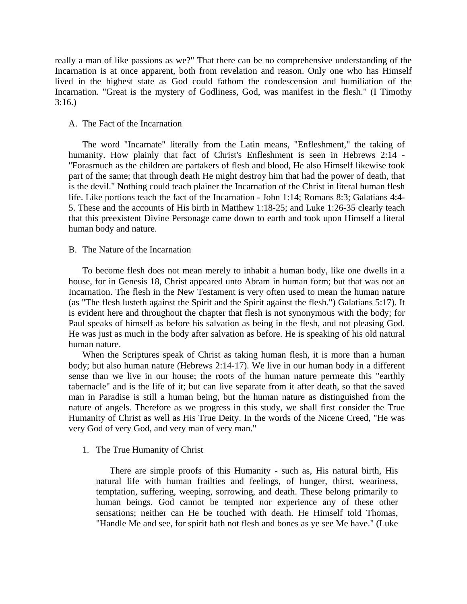really a man of like passions as we?" That there can be no comprehensive understanding of the Incarnation is at once apparent, both from revelation and reason. Only one who has Himself lived in the highest state as God could fathom the condescension and humiliation of the Incarnation. "Great is the mystery of Godliness, God, was manifest in the flesh." (I Timothy 3:16.)

# A. The Fact of the Incarnation

 The word "Incarnate" literally from the Latin means, "Enfleshment," the taking of humanity. How plainly that fact of Christ's Enfleshment is seen in Hebrews 2:14 - "Forasmuch as the children are partakers of flesh and blood, He also Himself likewise took part of the same; that through death He might destroy him that had the power of death, that is the devil." Nothing could teach plainer the Incarnation of the Christ in literal human flesh life. Like portions teach the fact of the Incarnation - John 1:14; Romans 8:3; Galatians 4:4- 5. These and the accounts of His birth in Matthew 1:18-25; and Luke 1:26-35 clearly teach that this preexistent Divine Personage came down to earth and took upon Himself a literal human body and nature.

## B. The Nature of the Incarnation

 To become flesh does not mean merely to inhabit a human body, like one dwells in a house, for in Genesis 18, Christ appeared unto Abram in human form; but that was not an Incarnation. The flesh in the New Testament is very often used to mean the human nature (as "The flesh lusteth against the Spirit and the Spirit against the flesh.") Galatians 5:17). It is evident here and throughout the chapter that flesh is not synonymous with the body; for Paul speaks of himself as before his salvation as being in the flesh, and not pleasing God. He was just as much in the body after salvation as before. He is speaking of his old natural human nature.

 When the Scriptures speak of Christ as taking human flesh, it is more than a human body; but also human nature (Hebrews 2:14-17). We live in our human body in a different sense than we live in our house; the roots of the human nature permeate this "earthly tabernacle" and is the life of it; but can live separate from it after death, so that the saved man in Paradise is still a human being, but the human nature as distinguished from the nature of angels. Therefore as we progress in this study, we shall first consider the True Humanity of Christ as well as His True Deity. In the words of the Nicene Creed, "He was very God of very God, and very man of very man."

1. The True Humanity of Christ

 There are simple proofs of this Humanity - such as, His natural birth, His natural life with human frailties and feelings, of hunger, thirst, weariness, temptation, suffering, weeping, sorrowing, and death. These belong primarily to human beings. God cannot be tempted nor experience any of these other sensations; neither can He be touched with death. He Himself told Thomas, "Handle Me and see, for spirit hath not flesh and bones as ye see Me have." (Luke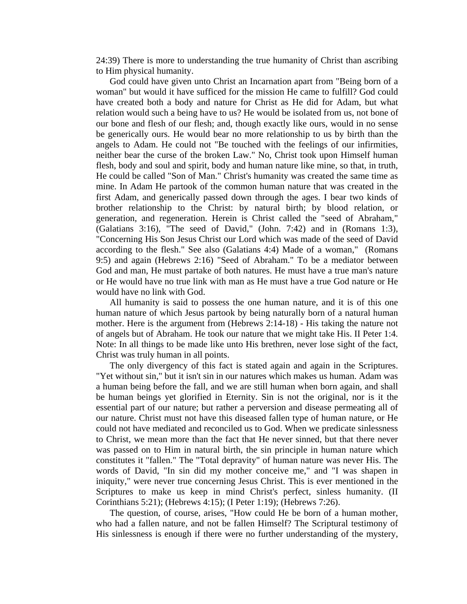24:39) There is more to understanding the true humanity of Christ than ascribing to Him physical humanity.

 God could have given unto Christ an Incarnation apart from "Being born of a woman" but would it have sufficed for the mission He came to fulfill? God could have created both a body and nature for Christ as He did for Adam, but what relation would such a being have to us? He would be isolated from us, not bone of our bone and flesh of our flesh; and, though exactly like ours, would in no sense be generically ours. He would bear no more relationship to us by birth than the angels to Adam. He could not "Be touched with the feelings of our infirmities, neither bear the curse of the broken Law." No, Christ took upon Himself human flesh, body and soul and spirit, body and human nature like mine, so that, in truth, He could be called "Son of Man." Christ's humanity was created the same time as mine. In Adam He partook of the common human nature that was created in the first Adam, and generically passed down through the ages. I bear two kinds of brother relationship to the Christ: by natural birth; by blood relation, or generation, and regeneration. Herein is Christ called the "seed of Abraham," (Galatians 3:16), "The seed of David," (John. 7:42) and in (Romans 1:3), "Concerning His Son Jesus Christ our Lord which was made of the seed of David according to the flesh." See also (Galatians 4:4) Made of a woman," (Romans 9:5) and again (Hebrews 2:16) "Seed of Abraham." To be a mediator between God and man, He must partake of both natures. He must have a true man's nature or He would have no true link with man as He must have a true God nature or He would have no link with God.

 All humanity is said to possess the one human nature, and it is of this one human nature of which Jesus partook by being naturally born of a natural human mother. Here is the argument from (Hebrews 2:14-18) - His taking the nature not of angels but of Abraham. He took our nature that we might take His. II Peter 1:4. Note: In all things to be made like unto His brethren, never lose sight of the fact, Christ was truly human in all points.

 The only divergency of this fact is stated again and again in the Scriptures. "Yet without sin," but it isn't sin in our natures which makes us human. Adam was a human being before the fall, and we are still human when born again, and shall be human beings yet glorified in Eternity. Sin is not the original, nor is it the essential part of our nature; but rather a perversion and disease permeating all of our nature. Christ must not have this diseased fallen type of human nature, or He could not have mediated and reconciled us to God. When we predicate sinlessness to Christ, we mean more than the fact that He never sinned, but that there never was passed on to Him in natural birth, the sin principle in human nature which constitutes it "fallen." The "Total depravity" of human nature was never His. The words of David, "In sin did my mother conceive me," and "I was shapen in iniquity," were never true concerning Jesus Christ. This is ever mentioned in the Scriptures to make us keep in mind Christ's perfect, sinless humanity. (II Corinthians 5:21); (Hebrews 4:15); (I Peter 1:19); (Hebrews 7:26).

 The question, of course, arises, "How could He be born of a human mother, who had a fallen nature, and not be fallen Himself? The Scriptural testimony of His sinlessness is enough if there were no further understanding of the mystery,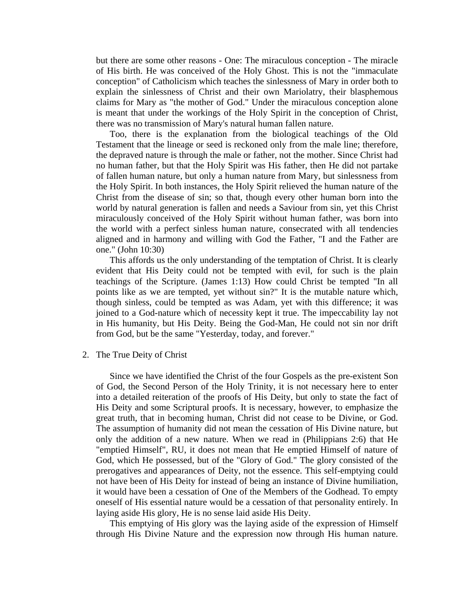but there are some other reasons - One: The miraculous conception - The miracle of His birth. He was conceived of the Holy Ghost. This is not the "immaculate conception" of Catholicism which teaches the sinlessness of Mary in order both to explain the sinlessness of Christ and their own Mariolatry, their blasphemous claims for Mary as "the mother of God." Under the miraculous conception alone is meant that under the workings of the Holy Spirit in the conception of Christ, there was no transmission of Mary's natural human fallen nature.

 Too, there is the explanation from the biological teachings of the Old Testament that the lineage or seed is reckoned only from the male line; therefore, the depraved nature is through the male or father, not the mother. Since Christ had no human father, but that the Holy Spirit was His father, then He did not partake of fallen human nature, but only a human nature from Mary, but sinlessness from the Holy Spirit. In both instances, the Holy Spirit relieved the human nature of the Christ from the disease of sin; so that, though every other human born into the world by natural generation is fallen and needs a Saviour from sin, yet this Christ miraculously conceived of the Holy Spirit without human father, was born into the world with a perfect sinless human nature, consecrated with all tendencies aligned and in harmony and willing with God the Father, "I and the Father are one." (John 10:30)

 This affords us the only understanding of the temptation of Christ. It is clearly evident that His Deity could not be tempted with evil, for such is the plain teachings of the Scripture. (James 1:13) How could Christ be tempted "In all points like as we are tempted, yet without sin?" It is the mutable nature which, though sinless, could be tempted as was Adam, yet with this difference; it was joined to a God-nature which of necessity kept it true. The impeccability lay not in His humanity, but His Deity. Being the God-Man, He could not sin nor drift from God, but be the same "Yesterday, today, and forever."

2. The True Deity of Christ

 Since we have identified the Christ of the four Gospels as the pre-existent Son of God, the Second Person of the Holy Trinity, it is not necessary here to enter into a detailed reiteration of the proofs of His Deity, but only to state the fact of His Deity and some Scriptural proofs. It is necessary, however, to emphasize the great truth, that in becoming human, Christ did not cease to be Divine, or God. The assumption of humanity did not mean the cessation of His Divine nature, but only the addition of a new nature. When we read in (Philippians 2:6) that He "emptied Himself", RU, it does not mean that He emptied Himself of nature of God, which He possessed, but of the "Glory of God." The glory consisted of the prerogatives and appearances of Deity, not the essence. This self-emptying could not have been of His Deity for instead of being an instance of Divine humiliation, it would have been a cessation of One of the Members of the Godhead. To empty oneself of His essential nature would be a cessation of that personality entirely. In laying aside His glory, He is no sense laid aside His Deity.

 This emptying of His glory was the laying aside of the expression of Himself through His Divine Nature and the expression now through His human nature.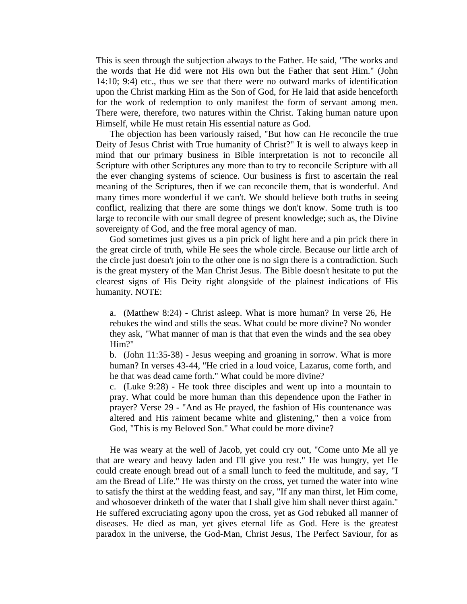This is seen through the subjection always to the Father. He said, "The works and the words that He did were not His own but the Father that sent Him." (John 14:10; 9:4) etc., thus we see that there were no outward marks of identification upon the Christ marking Him as the Son of God, for He laid that aside henceforth for the work of redemption to only manifest the form of servant among men. There were, therefore, two natures within the Christ. Taking human nature upon Himself, while He must retain His essential nature as God.

 The objection has been variously raised, "But how can He reconcile the true Deity of Jesus Christ with True humanity of Christ?" It is well to always keep in mind that our primary business in Bible interpretation is not to reconcile all Scripture with other Scriptures any more than to try to reconcile Scripture with all the ever changing systems of science. Our business is first to ascertain the real meaning of the Scriptures, then if we can reconcile them, that is wonderful. And many times more wonderful if we can't. We should believe both truths in seeing conflict, realizing that there are some things we don't know. Some truth is too large to reconcile with our small degree of present knowledge; such as, the Divine sovereignty of God, and the free moral agency of man.

 God sometimes just gives us a pin prick of light here and a pin prick there in the great circle of truth, while He sees the whole circle. Because our little arch of the circle just doesn't join to the other one is no sign there is a contradiction. Such is the great mystery of the Man Christ Jesus. The Bible doesn't hesitate to put the clearest signs of His Deity right alongside of the plainest indications of His humanity. NOTE:

a. (Matthew 8:24) - Christ asleep. What is more human? In verse 26, He rebukes the wind and stills the seas. What could be more divine? No wonder they ask, "What manner of man is that that even the winds and the sea obey Him?"

b. (John 11:35-38) - Jesus weeping and groaning in sorrow. What is more human? In verses 43-44, "He cried in a loud voice, Lazarus, come forth, and he that was dead came forth." What could be more divine?

c. (Luke 9:28) - He took three disciples and went up into a mountain to pray. What could be more human than this dependence upon the Father in prayer? Verse 29 - "And as He prayed, the fashion of His countenance was altered and His raiment became white and glistening," then a voice from God, "This is my Beloved Son." What could be more divine?

 He was weary at the well of Jacob, yet could cry out, "Come unto Me all ye that are weary and heavy laden and I'll give you rest." He was hungry, yet He could create enough bread out of a small lunch to feed the multitude, and say, "I am the Bread of Life." He was thirsty on the cross, yet turned the water into wine to satisfy the thirst at the wedding feast, and say, "If any man thirst, let Him come, and whosoever drinketh of the water that I shall give him shall never thirst again." He suffered excruciating agony upon the cross, yet as God rebuked all manner of diseases. He died as man, yet gives eternal life as God. Here is the greatest paradox in the universe, the God-Man, Christ Jesus, The Perfect Saviour, for as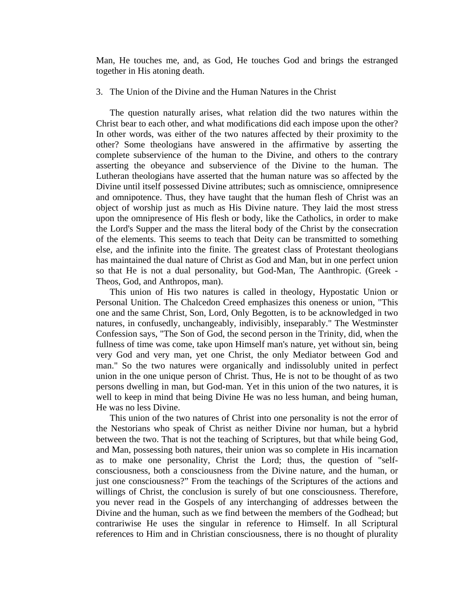Man, He touches me, and, as God, He touches God and brings the estranged together in His atoning death.

## 3. The Union of the Divine and the Human Natures in the Christ

 The question naturally arises, what relation did the two natures within the Christ bear to each other, and what modifications did each impose upon the other? In other words, was either of the two natures affected by their proximity to the other? Some theologians have answered in the affirmative by asserting the complete subservience of the human to the Divine, and others to the contrary asserting the obeyance and subservience of the Divine to the human. The Lutheran theologians have asserted that the human nature was so affected by the Divine until itself possessed Divine attributes; such as omniscience, omnipresence and omnipotence. Thus, they have taught that the human flesh of Christ was an object of worship just as much as His Divine nature. They laid the most stress upon the omnipresence of His flesh or body, like the Catholics, in order to make the Lord's Supper and the mass the literal body of the Christ by the consecration of the elements. This seems to teach that Deity can be transmitted to something else, and the infinite into the finite. The greatest class of Protestant theologians has maintained the dual nature of Christ as God and Man, but in one perfect union so that He is not a dual personality, but God-Man, The Aanthropic. (Greek - Theos, God, and Anthropos, man).

 This union of His two natures is called in theology, Hypostatic Union or Personal Unition. The Chalcedon Creed emphasizes this oneness or union, "This one and the same Christ, Son, Lord, Only Begotten, is to be acknowledged in two natures, in confusedly, unchangeably, indivisibly, inseparably." The Westminster Confession says, "The Son of God, the second person in the Trinity, did, when the fullness of time was come, take upon Himself man's nature, yet without sin, being very God and very man, yet one Christ, the only Mediator between God and man." So the two natures were organically and indissolubly united in perfect union in the one unique person of Christ. Thus, He is not to be thought of as two persons dwelling in man, but God-man. Yet in this union of the two natures, it is well to keep in mind that being Divine He was no less human, and being human, He was no less Divine.

 This union of the two natures of Christ into one personality is not the error of the Nestorians who speak of Christ as neither Divine nor human, but a hybrid between the two. That is not the teaching of Scriptures, but that while being God, and Man, possessing both natures, their union was so complete in His incarnation as to make one personality, Christ the Lord; thus, the question of "selfconsciousness, both a consciousness from the Divine nature, and the human, or just one consciousness?" From the teachings of the Scriptures of the actions and willings of Christ, the conclusion is surely of but one consciousness. Therefore, you never read in the Gospels of any interchanging of addresses between the Divine and the human, such as we find between the members of the Godhead; but contrariwise He uses the singular in reference to Himself. In all Scriptural references to Him and in Christian consciousness, there is no thought of plurality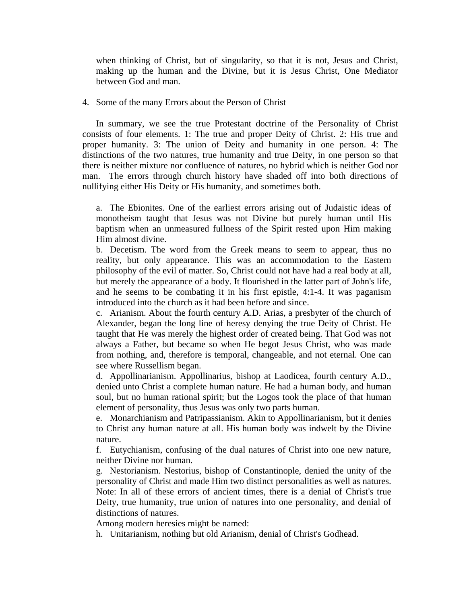when thinking of Christ, but of singularity, so that it is not, Jesus and Christ, making up the human and the Divine, but it is Jesus Christ, One Mediator between God and man.

4. Some of the many Errors about the Person of Christ

 In summary, we see the true Protestant doctrine of the Personality of Christ consists of four elements. 1: The true and proper Deity of Christ. 2: His true and proper humanity. 3: The union of Deity and humanity in one person. 4: The distinctions of the two natures, true humanity and true Deity, in one person so that there is neither mixture nor confluence of natures, no hybrid which is neither God nor man. The errors through church history have shaded off into both directions of nullifying either His Deity or His humanity, and sometimes both.

a. The Ebionites. One of the earliest errors arising out of Judaistic ideas of monotheism taught that Jesus was not Divine but purely human until His baptism when an unmeasured fullness of the Spirit rested upon Him making Him almost divine.

b. Decetism. The word from the Greek means to seem to appear, thus no reality, but only appearance. This was an accommodation to the Eastern philosophy of the evil of matter. So, Christ could not have had a real body at all, but merely the appearance of a body. It flourished in the latter part of John's life, and he seems to be combating it in his first epistle, 4:1-4. It was paganism introduced into the church as it had been before and since.

c. Arianism. About the fourth century A.D. Arias, a presbyter of the church of Alexander, began the long line of heresy denying the true Deity of Christ. He taught that He was merely the highest order of created being. That God was not always a Father, but became so when He begot Jesus Christ, who was made from nothing, and, therefore is temporal, changeable, and not eternal. One can see where Russellism began.

d. Appollinarianism. Appollinarius, bishop at Laodicea, fourth century A.D., denied unto Christ a complete human nature. He had a human body, and human soul, but no human rational spirit; but the Logos took the place of that human element of personality, thus Jesus was only two parts human.

e. Monarchianism and Patripassianism. Akin to Appollinarianism, but it denies to Christ any human nature at all. His human body was indwelt by the Divine nature.

f. Eutychianism, confusing of the dual natures of Christ into one new nature, neither Divine nor human.

g. Nestorianism. Nestorius, bishop of Constantinople, denied the unity of the personality of Christ and made Him two distinct personalities as well as natures. Note: In all of these errors of ancient times, there is a denial of Christ's true Deity, true humanity, true union of natures into one personality, and denial of distinctions of natures.

Among modern heresies might be named:

h. Unitarianism, nothing but old Arianism, denial of Christ's Godhead.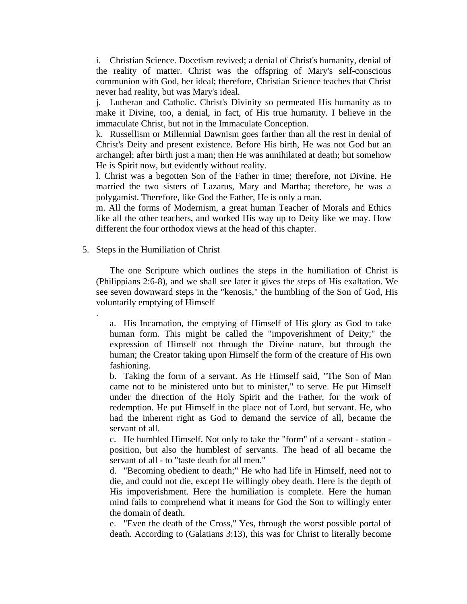i. Christian Science. Docetism revived; a denial of Christ's humanity, denial of the reality of matter. Christ was the offspring of Mary's self-conscious communion with God, her ideal; therefore, Christian Science teaches that Christ never had reality, but was Mary's ideal.

j. Lutheran and Catholic. Christ's Divinity so permeated His humanity as to make it Divine, too, a denial, in fact, of His true humanity. I believe in the immaculate Christ, but not in the Immaculate Conception.

k. Russellism or Millennial Dawnism goes farther than all the rest in denial of Christ's Deity and present existence. Before His birth, He was not God but an archangel; after birth just a man; then He was annihilated at death; but somehow He is Spirit now, but evidently without reality.

l. Christ was a begotten Son of the Father in time; therefore, not Divine. He married the two sisters of Lazarus, Mary and Martha; therefore, he was a polygamist. Therefore, like God the Father, He is only a man.

m. All the forms of Modernism, a great human Teacher of Morals and Ethics like all the other teachers, and worked His way up to Deity like we may. How different the four orthodox views at the head of this chapter.

5. Steps in the Humiliation of Christ

.

 The one Scripture which outlines the steps in the humiliation of Christ is (Philippians 2:6-8), and we shall see later it gives the steps of His exaltation. We see seven downward steps in the "kenosis," the humbling of the Son of God, His voluntarily emptying of Himself

a. His Incarnation, the emptying of Himself of His glory as God to take human form. This might be called the "impoverishment of Deity;" the expression of Himself not through the Divine nature, but through the human; the Creator taking upon Himself the form of the creature of His own fashioning.

b. Taking the form of a servant. As He Himself said, "The Son of Man came not to be ministered unto but to minister," to serve. He put Himself under the direction of the Holy Spirit and the Father, for the work of redemption. He put Himself in the place not of Lord, but servant. He, who had the inherent right as God to demand the service of all, became the servant of all.

c. He humbled Himself. Not only to take the "form" of a servant - station position, but also the humblest of servants. The head of all became the servant of all - to "taste death for all men."

d. "Becoming obedient to death;" He who had life in Himself, need not to die, and could not die, except He willingly obey death. Here is the depth of His impoverishment. Here the humiliation is complete. Here the human mind fails to comprehend what it means for God the Son to willingly enter the domain of death.

e. "Even the death of the Cross," Yes, through the worst possible portal of death. According to (Galatians 3:13), this was for Christ to literally become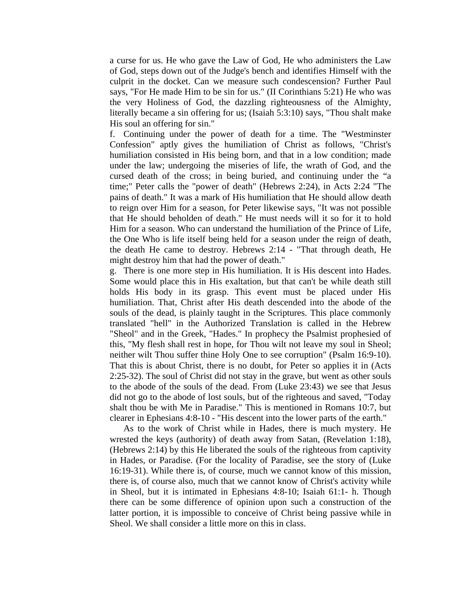a curse for us. He who gave the Law of God, He who administers the Law of God, steps down out of the Judge's bench and identifies Himself with the culprit in the docket. Can we measure such condescension? Further Paul says, "For He made Him to be sin for us." (II Corinthians 5:21) He who was the very Holiness of God, the dazzling righteousness of the Almighty, literally became a sin offering for us; (Isaiah 5:3:10) says, "Thou shalt make His soul an offering for sin."

f. Continuing under the power of death for a time. The "Westminster Confession" aptly gives the humiliation of Christ as follows, "Christ's humiliation consisted in His being born, and that in a low condition; made under the law; undergoing the miseries of life, the wrath of God, and the cursed death of the cross; in being buried, and continuing under the "a time;" Peter calls the "power of death" (Hebrews 2:24), in Acts 2:24 "The pains of death." It was a mark of His humiliation that He should allow death to reign over Him for a season, for Peter likewise says, "It was not possible that He should beholden of death." He must needs will it so for it to hold Him for a season. Who can understand the humiliation of the Prince of Life, the One Who is life itself being held for a season under the reign of death, the death He came to destroy. Hebrews 2:14 - "That through death, He might destroy him that had the power of death."

g. There is one more step in His humiliation. It is His descent into Hades. Some would place this in His exaltation, but that can't be while death still holds His body in its grasp. This event must be placed under His humiliation. That, Christ after His death descended into the abode of the souls of the dead, is plainly taught in the Scriptures. This place commonly translated "hell" in the Authorized Translation is called in the Hebrew "Sheol" and in the Greek, "Hades." In prophecy the Psalmist prophesied of this, "My flesh shall rest in hope, for Thou wilt not leave my soul in Sheol; neither wilt Thou suffer thine Holy One to see corruption" (Psalm 16:9-10). That this is about Christ, there is no doubt, for Peter so applies it in (Acts 2:25-32). The soul of Christ did not stay in the grave, but went as other souls to the abode of the souls of the dead. From (Luke 23:43) we see that Jesus did not go to the abode of lost souls, but of the righteous and saved, "Today shalt thou be with Me in Paradise." This is mentioned in Romans 10:7, but clearer in Ephesians 4:8-10 - "His descent into the lower parts of the earth."

 As to the work of Christ while in Hades, there is much mystery. He wrested the keys (authority) of death away from Satan, (Revelation 1:18), (Hebrews 2:14) by this He liberated the souls of the righteous from captivity in Hades, or Paradise. (For the locality of Paradise, see the story of (Luke 16:19-31). While there is, of course, much we cannot know of this mission, there is, of course also, much that we cannot know of Christ's activity while in Sheol, but it is intimated in Ephesians 4:8-10; Isaiah 61:1- h. Though there can be some difference of opinion upon such a construction of the latter portion, it is impossible to conceive of Christ being passive while in Sheol. We shall consider a little more on this in class.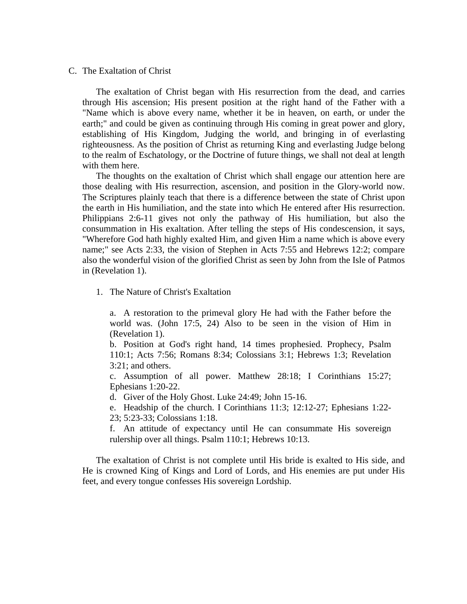C. The Exaltation of Christ

 The exaltation of Christ began with His resurrection from the dead, and carries through His ascension; His present position at the right hand of the Father with a "Name which is above every name, whether it be in heaven, on earth, or under the earth;" and could be given as continuing through His coming in great power and glory, establishing of His Kingdom, Judging the world, and bringing in of everlasting righteousness. As the position of Christ as returning King and everlasting Judge belong to the realm of Eschatology, or the Doctrine of future things, we shall not deal at length with them here.

 The thoughts on the exaltation of Christ which shall engage our attention here are those dealing with His resurrection, ascension, and position in the Glory-world now. The Scriptures plainly teach that there is a difference between the state of Christ upon the earth in His humiliation, and the state into which He entered after His resurrection. Philippians 2:6-11 gives not only the pathway of His humiliation, but also the consummation in His exaltation. After telling the steps of His condescension, it says, "Wherefore God hath highly exalted Him, and given Him a name which is above every name;" see Acts 2:33, the vision of Stephen in Acts 7:55 and Hebrews 12:2; compare also the wonderful vision of the glorified Christ as seen by John from the Isle of Patmos in (Revelation 1).

1. The Nature of Christ's Exaltation

a. A restoration to the primeval glory He had with the Father before the world was. (John 17:5, 24) Also to be seen in the vision of Him in (Revelation 1).

b. Position at God's right hand, 14 times prophesied. Prophecy, Psalm 110:1; Acts 7:56; Romans 8:34; Colossians 3:1; Hebrews 1:3; Revelation 3:21; and others.

c. Assumption of all power. Matthew 28:18; I Corinthians 15:27; Ephesians 1:20-22.

d. Giver of the Holy Ghost. Luke 24:49; John 15-16.

e. Headship of the church. I Corinthians 11:3; 12:12-27; Ephesians 1:22- 23; 5:23-33; Colossians 1:18.

f. An attitude of expectancy until He can consummate His sovereign rulership over all things. Psalm 110:1; Hebrews 10:13.

 The exaltation of Christ is not complete until His bride is exalted to His side, and He is crowned King of Kings and Lord of Lords, and His enemies are put under His feet, and every tongue confesses His sovereign Lordship.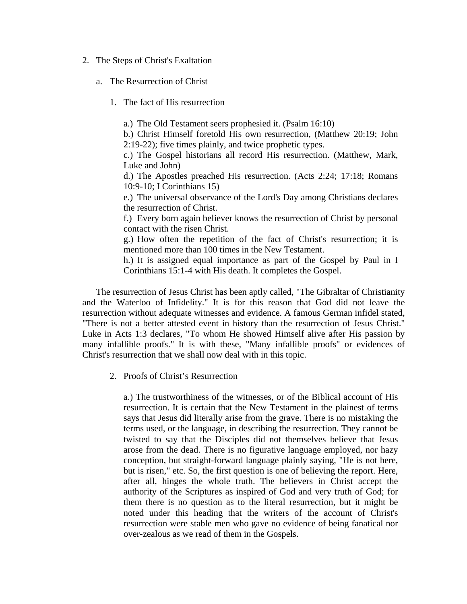- 2. The Steps of Christ's Exaltation
	- a. The Resurrection of Christ
		- 1. The fact of His resurrection

a.) The Old Testament seers prophesied it. (Psalm 16:10)

b.) Christ Himself foretold His own resurrection, (Matthew 20:19; John 2:19-22); five times plainly, and twice prophetic types.

c.) The Gospel historians all record His resurrection. (Matthew, Mark, Luke and John)

d.) The Apostles preached His resurrection. (Acts 2:24; 17:18; Romans 10:9-10; I Corinthians 15)

e.) The universal observance of the Lord's Day among Christians declares the resurrection of Christ.

f.) Every born again believer knows the resurrection of Christ by personal contact with the risen Christ.

g.) How often the repetition of the fact of Christ's resurrection; it is mentioned more than 100 times in the New Testament.

h.) It is assigned equal importance as part of the Gospel by Paul in I Corinthians 15:1-4 with His death. It completes the Gospel.

 The resurrection of Jesus Christ has been aptly called, "The Gibraltar of Christianity and the Waterloo of Infidelity." It is for this reason that God did not leave the resurrection without adequate witnesses and evidence. A famous German infidel stated, "There is not a better attested event in history than the resurrection of Jesus Christ." Luke in Acts 1:3 declares, "To whom He showed Himself alive after His passion by many infallible proofs." It is with these, "Many infallible proofs" or evidences of Christ's resurrection that we shall now deal with in this topic.

2. Proofs of Christ's Resurrection

a.) The trustworthiness of the witnesses, or of the Biblical account of His resurrection. It is certain that the New Testament in the plainest of terms says that Jesus did literally arise from the grave. There is no mistaking the terms used, or the language, in describing the resurrection. They cannot be twisted to say that the Disciples did not themselves believe that Jesus arose from the dead. There is no figurative language employed, nor hazy conception, but straight-forward language plainly saying, "He is not here, but is risen," etc. So, the first question is one of believing the report. Here, after all, hinges the whole truth. The believers in Christ accept the authority of the Scriptures as inspired of God and very truth of God; for them there is no question as to the literal resurrection, but it might be noted under this heading that the writers of the account of Christ's resurrection were stable men who gave no evidence of being fanatical nor over-zealous as we read of them in the Gospels.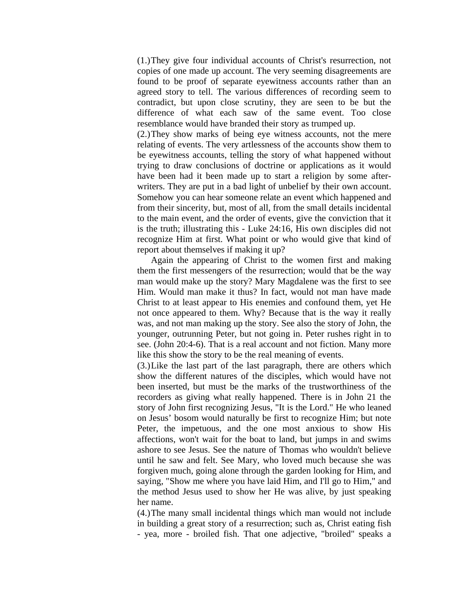(1.) They give four individual accounts of Christ's resurrection, not copies of one made up account. The very seeming disagreements are found to be proof of separate eyewitness accounts rather than an agreed story to tell. The various differences of recording seem to contradict, but upon close scrutiny, they are seen to be but the difference of what each saw of the same event. Too close resemblance would have branded their story as trumped up.

(2.) They show marks of being eye witness accounts, not the mere relating of events. The very artlessness of the accounts show them to be eyewitness accounts, telling the story of what happened without trying to draw conclusions of doctrine or applications as it would have been had it been made up to start a religion by some afterwriters. They are put in a bad light of unbelief by their own account. Somehow you can hear someone relate an event which happened and from their sincerity, but, most of all, from the small details incidental to the main event, and the order of events, give the conviction that it is the truth; illustrating this - Luke 24:16, His own disciples did not recognize Him at first. What point or who would give that kind of report about themselves if making it up?

 Again the appearing of Christ to the women first and making them the first messengers of the resurrection; would that be the way man would make up the story? Mary Magdalene was the first to see Him. Would man make it thus? In fact, would not man have made Christ to at least appear to His enemies and confound them, yet He not once appeared to them. Why? Because that is the way it really was, and not man making up the story. See also the story of John, the younger, outrunning Peter, but not going in. Peter rushes right in to see. (John 20:4-6). That is a real account and not fiction. Many more like this show the story to be the real meaning of events.

(3.) Like the last part of the last paragraph, there are others which show the different natures of the disciples, which would have not been inserted, but must be the marks of the trustworthiness of the recorders as giving what really happened. There is in John 21 the story of John first recognizing Jesus, "It is the Lord." He who leaned on Jesus' bosom would naturally be first to recognize Him; but note Peter, the impetuous, and the one most anxious to show His affections, won't wait for the boat to land, but jumps in and swims ashore to see Jesus. See the nature of Thomas who wouldn't believe until he saw and felt. See Mary, who loved much because she was forgiven much, going alone through the garden looking for Him, and saying, "Show me where you have laid Him, and I'll go to Him," and the method Jesus used to show her He was alive, by just speaking her name.

(4.) The many small incidental things which man would not include in building a great story of a resurrection; such as, Christ eating fish - yea, more - broiled fish. That one adjective, "broiled" speaks a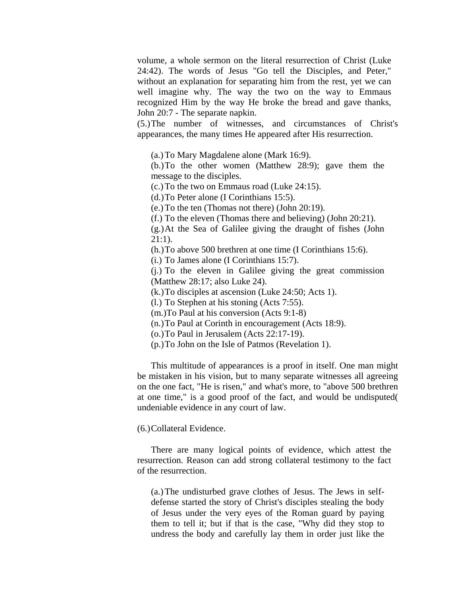volume, a whole sermon on the literal resurrection of Christ (Luke 24:42). The words of Jesus "Go tell the Disciples, and Peter," without an explanation for separating him from the rest, yet we can well imagine why. The way the two on the way to Emmaus recognized Him by the way He broke the bread and gave thanks, John 20:7 - The separate napkin.

 (5.) The number of witnesses, and circumstances of Christ's appearances, the many times He appeared after His resurrection.

(a.) To Mary Magdalene alone (Mark 16:9).

(b.) To the other women (Matthew 28:9); gave them the message to the disciples.

(c.) To the two on Emmaus road (Luke 24:15).

(d.) To Peter alone (I Corinthians 15:5).

(e.) To the ten (Thomas not there) (John 20:19).

(f.) To the eleven (Thomas there and believing) (John 20:21).

(g.) At the Sea of Galilee giving the draught of fishes (John 21:1).

(h.) To above 500 brethren at one time (I Corinthians 15:6).

(i.) To James alone (I Corinthians 15:7).

(j.) To the eleven in Galilee giving the great commission (Matthew 28:17; also Luke 24).

(k.) To disciples at ascension (Luke 24:50; Acts 1).

(l.) To Stephen at his stoning (Acts 7:55).

(m.)To Paul at his conversion (Acts 9:1-8)

(n.) To Paul at Corinth in encouragement (Acts 18:9).

(o.) To Paul in Jerusalem (Acts 22:17-19).

(p.) To John on the Isle of Patmos (Revelation 1).

 This multitude of appearances is a proof in itself. One man might be mistaken in his vision, but to many separate witnesses all agreeing on the one fact, "He is risen," and what's more, to "above 500 brethren at one time," is a good proof of the fact, and would be undisputed( undeniable evidence in any court of law.

(6.) Collateral Evidence.

 There are many logical points of evidence, which attest the resurrection. Reason can add strong collateral testimony to the fact of the resurrection.

(a.) The undisturbed grave clothes of Jesus. The Jews in selfdefense started the story of Christ's disciples stealing the body of Jesus under the very eyes of the Roman guard by paying them to tell it; but if that is the case, "Why did they stop to undress the body and carefully lay them in order just like the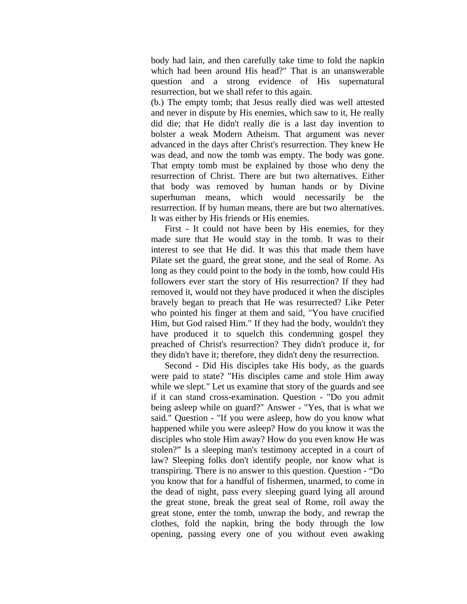body had lain, and then carefully take time to fold the napkin which had been around His head?" That is an unanswerable question and a strong evidence of His supernatural resurrection, but we shall refer to this again.

(b.) The empty tomb; that Jesus really died was well attested and never in dispute by His enemies, which saw to it, He really did die; that He didn't really die is a last day invention to bolster a weak Modern Atheism. That argument was never advanced in the days after Christ's resurrection. They knew He was dead, and now the tomb was empty. The body was gone. That empty tomb must be explained by those who deny the resurrection of Christ. There are but two alternatives. Either that body was removed by human hands or by Divine superhuman means, which would necessarily be the resurrection. If by human means, there are but two alternatives. It was either by His friends or His enemies.

 First - It could not have been by His enemies, for they made sure that He would stay in the tomb. It was to their interest to see that He did. It was this that made them have Pilate set the guard, the great stone, and the seal of Rome. As long as they could point to the body in the tomb, how could His followers ever start the story of His resurrection? If they had removed it, would not they have produced it when the disciples bravely began to preach that He was resurrected? Like Peter who pointed his finger at them and said, "You have crucified Him, but God raised Him." If they had the body, wouldn't they have produced it to squelch this condemning gospel they preached of Christ's resurrection? They didn't produce it, for they didn't have it; therefore, they didn't deny the resurrection.

 Second - Did His disciples take His body, as the guards were paid to state? "His disciples came and stole Him away while we slept." Let us examine that story of the guards and see if it can stand cross-examination. Question - "Do you admit being asleep while on guard?" Answer - "Yes, that is what we said." Question - "If you were asleep, how do you know what happened while you were asleep? How do you know it was the disciples who stole Him away? How do you even know He was stolen?" Is a sleeping man's testimony accepted in a court of law? Sleeping folks don't identify people, nor know what is transpiring. There is no answer to this question. Question - "Do you know that for a handful of fishermen, unarmed, to come in the dead of night, pass every sleeping guard lying all around the great stone, break the great seal of Rome, roll away the great stone, enter the tomb, unwrap the body, and rewrap the clothes, fold the napkin, bring the body through the low opening, passing every one of you without even awaking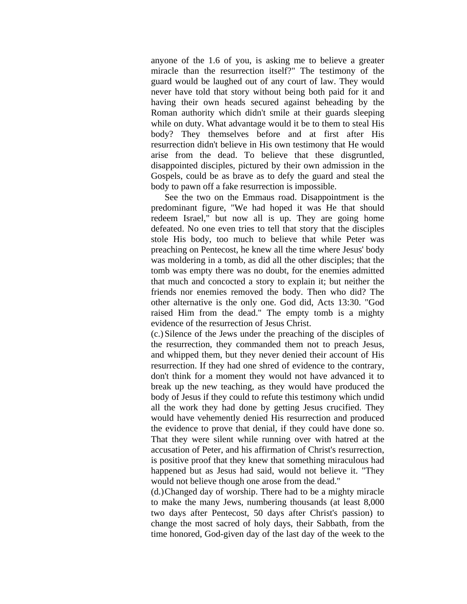anyone of the 1.6 of you, is asking me to believe a greater miracle than the resurrection itself?" The testimony of the guard would be laughed out of any court of law. They would never have told that story without being both paid for it and having their own heads secured against beheading by the Roman authority which didn't smile at their guards sleeping while on duty. What advantage would it be to them to steal His body? They themselves before and at first after His resurrection didn't believe in His own testimony that He would arise from the dead. To believe that these disgruntled, disappointed disciples, pictured by their own admission in the Gospels, could be as brave as to defy the guard and steal the body to pawn off a fake resurrection is impossible.

 See the two on the Emmaus road. Disappointment is the predominant figure, "We had hoped it was He that should redeem Israel," but now all is up. They are going home defeated. No one even tries to tell that story that the disciples stole His body, too much to believe that while Peter was preaching on Pentecost, he knew all the time where Jesus' body was moldering in a tomb, as did all the other disciples; that the tomb was empty there was no doubt, for the enemies admitted that much and concocted a story to explain it; but neither the friends nor enemies removed the body. Then who did? The other alternative is the only one. God did, Acts 13:30. "God raised Him from the dead." The empty tomb is a mighty evidence of the resurrection of Jesus Christ.

(c.) Silence of the Jews under the preaching of the disciples of the resurrection, they commanded them not to preach Jesus, and whipped them, but they never denied their account of His resurrection. If they had one shred of evidence to the contrary, don't think for a moment they would not have advanced it to break up the new teaching, as they would have produced the body of Jesus if they could to refute this testimony which undid all the work they had done by getting Jesus crucified. They would have vehemently denied His resurrection and produced the evidence to prove that denial, if they could have done so. That they were silent while running over with hatred at the accusation of Peter, and his affirmation of Christ's resurrection, is positive proof that they knew that something miraculous had happened but as Jesus had said, would not believe it. "They would not believe though one arose from the dead."

(d.) Changed day of worship. There had to be a mighty miracle to make the many Jews, numbering thousands (at least 8,000 two days after Pentecost, 50 days after Christ's passion) to change the most sacred of holy days, their Sabbath, from the time honored, God-given day of the last day of the week to the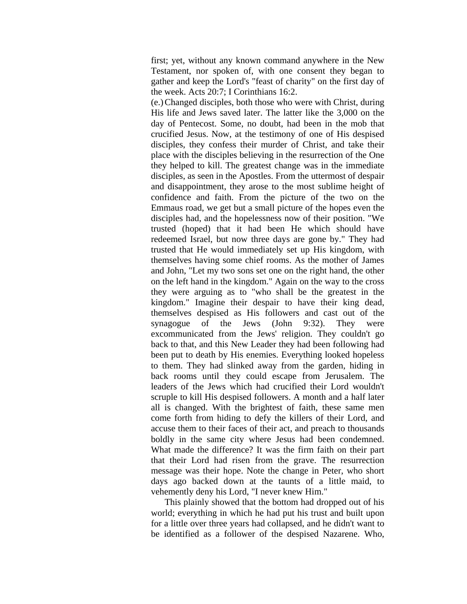first; yet, without any known command anywhere in the New Testament, nor spoken of, with one consent they began to gather and keep the Lord's "feast of charity" on the first day of the week. Acts 20:7; I Corinthians 16:2.

(e.) Changed disciples, both those who were with Christ, during His life and Jews saved later. The latter like the 3,000 on the day of Pentecost. Some, no doubt, had been in the mob that crucified Jesus. Now, at the testimony of one of His despised disciples, they confess their murder of Christ, and take their place with the disciples believing in the resurrection of the One they helped to kill. The greatest change was in the immediate disciples, as seen in the Apostles. From the uttermost of despair and disappointment, they arose to the most sublime height of confidence and faith. From the picture of the two on the Emmaus road, we get but a small picture of the hopes even the disciples had, and the hopelessness now of their position. "We trusted (hoped) that it had been He which should have redeemed Israel, but now three days are gone by." They had trusted that He would immediately set up His kingdom, with themselves having some chief rooms. As the mother of James and John, "Let my two sons set one on the right hand, the other on the left hand in the kingdom." Again on the way to the cross they were arguing as to "who shall be the greatest in the kingdom." Imagine their despair to have their king dead, themselves despised as His followers and cast out of the synagogue of the Jews (John 9:32). They were excommunicated from the Jews' religion. They couldn't go back to that, and this New Leader they had been following had been put to death by His enemies. Everything looked hopeless to them. They had slinked away from the garden, hiding in back rooms until they could escape from Jerusalem. The leaders of the Jews which had crucified their Lord wouldn't scruple to kill His despised followers. A month and a half later all is changed. With the brightest of faith, these same men come forth from hiding to defy the killers of their Lord, and accuse them to their faces of their act, and preach to thousands boldly in the same city where Jesus had been condemned. What made the difference? It was the firm faith on their part that their Lord had risen from the grave. The resurrection message was their hope. Note the change in Peter, who short days ago backed down at the taunts of a little maid, to vehemently deny his Lord, "I never knew Him."

 This plainly showed that the bottom had dropped out of his world; everything in which he had put his trust and built upon for a little over three years had collapsed, and he didn't want to be identified as a follower of the despised Nazarene. Who,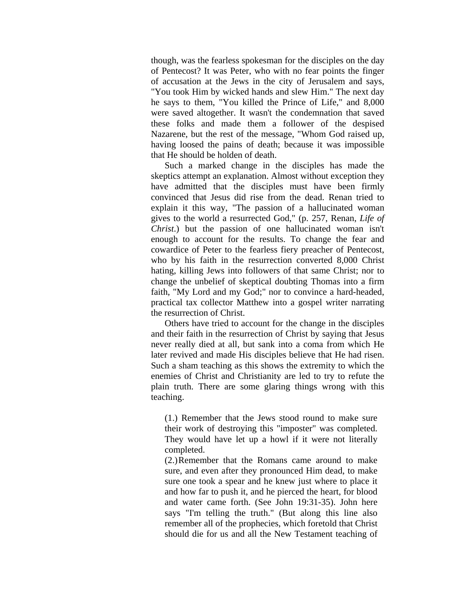though, was the fearless spokesman for the disciples on the day of Pentecost? It was Peter, who with no fear points the finger of accusation at the Jews in the city of Jerusalem and says, "You took Him by wicked hands and slew Him." The next day he says to them, "You killed the Prince of Life," and 8,000 were saved altogether. It wasn't the condemnation that saved these folks and made them a follower of the despised Nazarene, but the rest of the message, "Whom God raised up, having loosed the pains of death; because it was impossible that He should be holden of death.

 Such a marked change in the disciples has made the skeptics attempt an explanation. Almost without exception they have admitted that the disciples must have been firmly convinced that Jesus did rise from the dead. Renan tried to explain it this way, "The passion of a hallucinated woman gives to the world a resurrected God," (p. 257, Renan, *Life of Christ*.) but the passion of one hallucinated woman isn't enough to account for the results. To change the fear and cowardice of Peter to the fearless fiery preacher of Pentecost, who by his faith in the resurrection converted 8,000 Christ hating, killing Jews into followers of that same Christ; nor to change the unbelief of skeptical doubting Thomas into a firm faith, "My Lord and my God;" nor to convince a hard-headed, practical tax collector Matthew into a gospel writer narrating the resurrection of Christ.

 Others have tried to account for the change in the disciples and their faith in the resurrection of Christ by saying that Jesus never really died at all, but sank into a coma from which He later revived and made His disciples believe that He had risen. Such a sham teaching as this shows the extremity to which the enemies of Christ and Christianity are led to try to refute the plain truth. There are some glaring things wrong with this teaching.

(1.) Remember that the Jews stood round to make sure their work of destroying this "imposter" was completed. They would have let up a howl if it were not literally completed.

(2.) Remember that the Romans came around to make sure, and even after they pronounced Him dead, to make sure one took a spear and he knew just where to place it and how far to push it, and he pierced the heart, for blood and water came forth. (See John 19:31-35). John here says "I'm telling the truth." (But along this line also remember all of the prophecies, which foretold that Christ should die for us and all the New Testament teaching of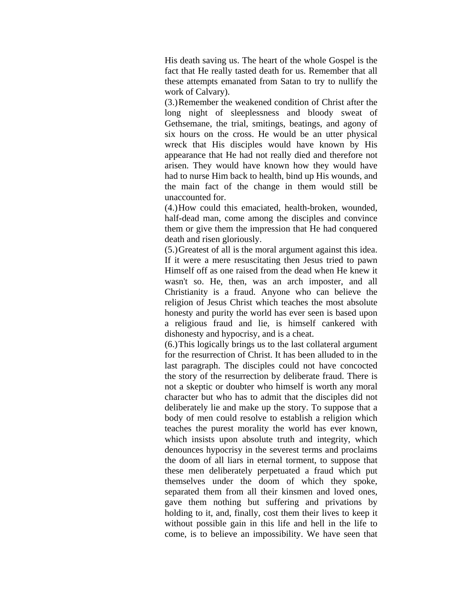His death saving us. The heart of the whole Gospel is the fact that He really tasted death for us. Remember that all these attempts emanated from Satan to try to nullify the work of Calvary).

(3.) Remember the weakened condition of Christ after the long night of sleeplessness and bloody sweat of Gethsemane, the trial, smitings, beatings, and agony of six hours on the cross. He would be an utter physical wreck that His disciples would have known by His appearance that He had not really died and therefore not arisen. They would have known how they would have had to nurse Him back to health, bind up His wounds, and the main fact of the change in them would still be unaccounted for.

(4.) How could this emaciated, health-broken, wounded, half-dead man, come among the disciples and convince them or give them the impression that He had conquered death and risen gloriously.

(5.) Greatest of all is the moral argument against this idea. If it were a mere resuscitating then Jesus tried to pawn Himself off as one raised from the dead when He knew it wasn't so. He, then, was an arch imposter, and all Christianity is a fraud. Anyone who can believe the religion of Jesus Christ which teaches the most absolute honesty and purity the world has ever seen is based upon a religious fraud and lie, is himself cankered with dishonesty and hypocrisy, and is a cheat.

(6.) This logically brings us to the last collateral argument for the resurrection of Christ. It has been alluded to in the last paragraph. The disciples could not have concocted the story of the resurrection by deliberate fraud. There is not a skeptic or doubter who himself is worth any moral character but who has to admit that the disciples did not deliberately lie and make up the story. To suppose that a body of men could resolve to establish a religion which teaches the purest morality the world has ever known, which insists upon absolute truth and integrity, which denounces hypocrisy in the severest terms and proclaims the doom of all liars in eternal torment, to suppose that these men deliberately perpetuated a fraud which put themselves under the doom of which they spoke, separated them from all their kinsmen and loved ones, gave them nothing but suffering and privations by holding to it, and, finally, cost them their lives to keep it without possible gain in this life and hell in the life to come, is to believe an impossibility. We have seen that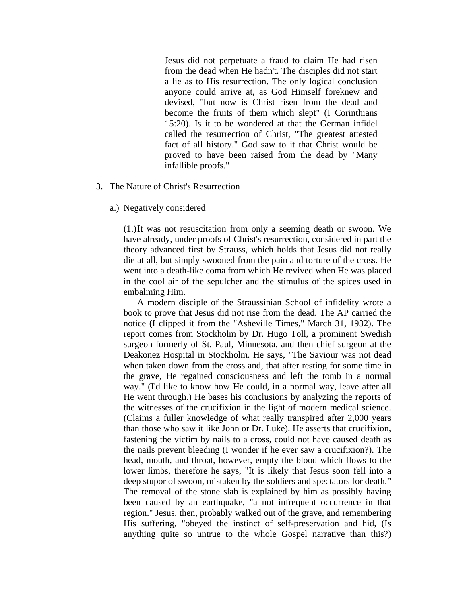Jesus did not perpetuate a fraud to claim He had risen from the dead when He hadn't. The disciples did not start a lie as to His resurrection. The only logical conclusion anyone could arrive at, as God Himself foreknew and devised, "but now is Christ risen from the dead and become the fruits of them which slept" (I Corinthians 15:20). Is it to be wondered at that the German infidel called the resurrection of Christ, "The greatest attested fact of all history." God saw to it that Christ would be proved to have been raised from the dead by "Many infallible proofs."

### 3. The Nature of Christ's Resurrection

#### a.) Negatively considered

(1.) It was not resuscitation from only a seeming death or swoon. We have already, under proofs of Christ's resurrection, considered in part the theory advanced first by Strauss, which holds that Jesus did not really die at all, but simply swooned from the pain and torture of the cross. He went into a death-like coma from which He revived when He was placed in the cool air of the sepulcher and the stimulus of the spices used in embalming Him.

 A modern disciple of the Straussinian School of infidelity wrote a book to prove that Jesus did not rise from the dead. The AP carried the notice (I clipped it from the "Asheville Times," March 31, 1932). The report comes from Stockholm by Dr. Hugo Toll, a prominent Swedish surgeon formerly of St. Paul, Minnesota, and then chief surgeon at the Deakonez Hospital in Stockholm. He says, "The Saviour was not dead when taken down from the cross and, that after resting for some time in the grave, He regained consciousness and left the tomb in a normal way." (I'd like to know how He could, in a normal way, leave after all He went through.) He bases his conclusions by analyzing the reports of the witnesses of the crucifixion in the light of modern medical science. (Claims a fuller knowledge of what really transpired after 2,000 years than those who saw it like John or Dr. Luke). He asserts that crucifixion, fastening the victim by nails to a cross, could not have caused death as the nails prevent bleeding (I wonder if he ever saw a crucifixion?). The head, mouth, and throat, however, empty the blood which flows to the lower limbs, therefore he says, "It is likely that Jesus soon fell into a deep stupor of swoon, mistaken by the soldiers and spectators for death." The removal of the stone slab is explained by him as possibly having been caused by an earthquake, "a not infrequent occurrence in that region." Jesus, then, probably walked out of the grave, and remembering His suffering, "obeyed the instinct of self-preservation and hid, (Is anything quite so untrue to the whole Gospel narrative than this?)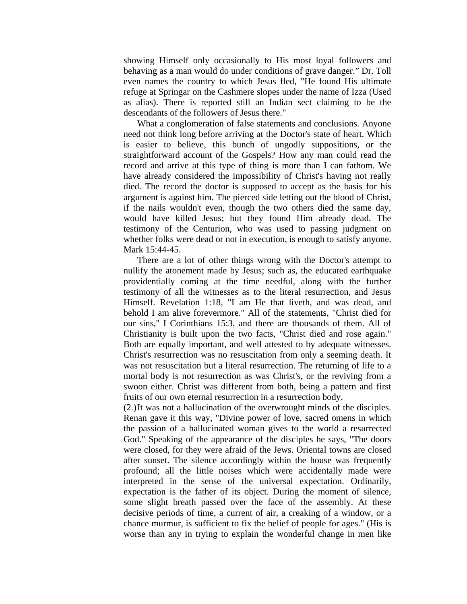showing Himself only occasionally to His most loyal followers and behaving as a man would do under conditions of grave danger." Dr. Toll even names the country to which Jesus fled, "He found His ultimate refuge at Springar on the Cashmere slopes under the name of Izza (Used as alias). There is reported still an Indian sect claiming to be the descendants of the followers of Jesus there."

 What a conglomeration of false statements and conclusions. Anyone need not think long before arriving at the Doctor's state of heart. Which is easier to believe, this bunch of ungodly suppositions, or the straightforward account of the Gospels? How any man could read the record and arrive at this type of thing is more than I can fathom. We have already considered the impossibility of Christ's having not really died. The record the doctor is supposed to accept as the basis for his argument is against him. The pierced side letting out the blood of Christ, if the nails wouldn't even, though the two others died the same day, would have killed Jesus; but they found Him already dead. The testimony of the Centurion, who was used to passing judgment on whether folks were dead or not in execution, is enough to satisfy anyone. Mark 15:44-45.

 There are a lot of other things wrong with the Doctor's attempt to nullify the atonement made by Jesus; such as, the educated earthquake providentially coming at the time needful, along with the further testimony of all the witnesses as to the literal resurrection, and Jesus Himself. Revelation 1:18, "I am He that liveth, and was dead, and behold I am alive forevermore." All of the statements, "Christ died for our sins," I Corinthians 15:3, and there are thousands of them. All of Christianity is built upon the two facts, "Christ died and rose again." Both are equally important, and well attested to by adequate witnesses. Christ's resurrection was no resuscitation from only a seeming death. It was not resuscitation but a literal resurrection. The returning of life to a mortal body is not resurrection as was Christ's, or the reviving from a swoon either. Christ was different from both, being a pattern and first fruits of our own eternal resurrection in a resurrection body.

(2.) It was not a hallucination of the overwrought minds of the disciples. Renan gave it this way, "Divine power of love, sacred omens in which the passion of a hallucinated woman gives to the world a resurrected God." Speaking of the appearance of the disciples he says, "The doors were closed, for they were afraid of the Jews. Oriental towns are closed after sunset. The silence accordingly within the house was frequently profound; all the little noises which were accidentally made were interpreted in the sense of the universal expectation. Ordinarily, expectation is the father of its object. During the moment of silence, some slight breath passed over the face of the assembly. At these decisive periods of time, a current of air, a creaking of a window, or a chance murmur, is sufficient to fix the belief of people for ages." (His is worse than any in trying to explain the wonderful change in men like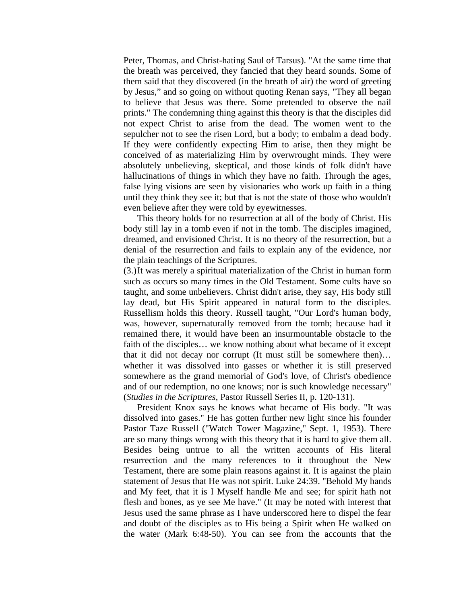Peter, Thomas, and Christ-hating Saul of Tarsus). "At the same time that the breath was perceived, they fancied that they heard sounds. Some of them said that they discovered (in the breath of air) the word of greeting by Jesus," and so going on without quoting Renan says, "They all began to believe that Jesus was there. Some pretended to observe the nail prints." The condemning thing against this theory is that the disciples did not expect Christ to arise from the dead. The women went to the sepulcher not to see the risen Lord, but a body; to embalm a dead body. If they were confidently expecting Him to arise, then they might be conceived of as materializing Him by overwrought minds. They were absolutely unbelieving, skeptical, and those kinds of folk didn't have hallucinations of things in which they have no faith. Through the ages, false lying visions are seen by visionaries who work up faith in a thing until they think they see it; but that is not the state of those who wouldn't even believe after they were told by eyewitnesses.

 This theory holds for no resurrection at all of the body of Christ. His body still lay in a tomb even if not in the tomb. The disciples imagined, dreamed, and envisioned Christ. It is no theory of the resurrection, but a denial of the resurrection and fails to explain any of the evidence, nor the plain teachings of the Scriptures.

(3.) It was merely a spiritual materialization of the Christ in human form such as occurs so many times in the Old Testament. Some cults have so taught, and some unbelievers. Christ didn't arise, they say, His body still lay dead, but His Spirit appeared in natural form to the disciples. Russellism holds this theory. Russell taught, "Our Lord's human body, was, however, supernaturally removed from the tomb; because had it remained there, it would have been an insurmountable obstacle to the faith of the disciples… we know nothing about what became of it except that it did not decay nor corrupt (It must still be somewhere then)… whether it was dissolved into gasses or whether it is still preserved somewhere as the grand memorial of God's love, of Christ's obedience and of our redemption, no one knows; nor is such knowledge necessary" (*Studies in the Scriptures*, Pastor Russell Series II, p. 120-131).

 President Knox says he knows what became of His body. "It was dissolved into gases." He has gotten further new light since his founder Pastor Taze Russell ("Watch Tower Magazine," Sept. 1, 1953). There are so many things wrong with this theory that it is hard to give them all. Besides being untrue to all the written accounts of His literal resurrection and the many references to it throughout the New Testament, there are some plain reasons against it. It is against the plain statement of Jesus that He was not spirit. Luke 24:39. "Behold My hands and My feet, that it is I Myself handle Me and see; for spirit hath not flesh and bones, as ye see Me have." (It may be noted with interest that Jesus used the same phrase as I have underscored here to dispel the fear and doubt of the disciples as to His being a Spirit when He walked on the water (Mark 6:48-50). You can see from the accounts that the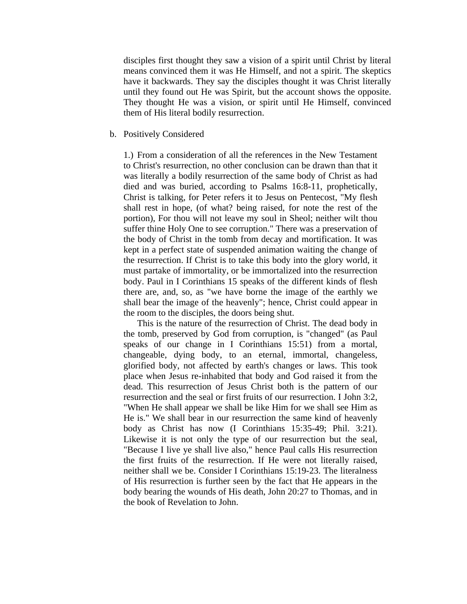disciples first thought they saw a vision of a spirit until Christ by literal means convinced them it was He Himself, and not a spirit. The skeptics have it backwards. They say the disciples thought it was Christ literally until they found out He was Spirit, but the account shows the opposite. They thought He was a vision, or spirit until He Himself, convinced them of His literal bodily resurrection.

b. Positively Considered

1.) From a consideration of all the references in the New Testament to Christ's resurrection, no other conclusion can be drawn than that it was literally a bodily resurrection of the same body of Christ as had died and was buried, according to Psalms 16:8-11, prophetically, Christ is talking, for Peter refers it to Jesus on Pentecost, "My flesh shall rest in hope, (of what? being raised, for note the rest of the portion), For thou will not leave my soul in Sheol; neither wilt thou suffer thine Holy One to see corruption." There was a preservation of the body of Christ in the tomb from decay and mortification. It was kept in a perfect state of suspended animation waiting the change of the resurrection. If Christ is to take this body into the glory world, it must partake of immortality, or be immortalized into the resurrection body. Paul in I Corinthians 15 speaks of the different kinds of flesh there are, and, so, as "we have borne the image of the earthly we shall bear the image of the heavenly"; hence, Christ could appear in the room to the disciples, the doors being shut.

 This is the nature of the resurrection of Christ. The dead body in the tomb, preserved by God from corruption, is "changed" (as Paul speaks of our change in I Corinthians 15:51) from a mortal, changeable, dying body, to an eternal, immortal, changeless, glorified body, not affected by earth's changes or laws. This took place when Jesus re-inhabited that body and God raised it from the dead. This resurrection of Jesus Christ both is the pattern of our resurrection and the seal or first fruits of our resurrection. I John 3:2, "When He shall appear we shall be like Him for we shall see Him as He is." We shall bear in our resurrection the same kind of heavenly body as Christ has now (I Corinthians 15:35-49; Phil. 3:21). Likewise it is not only the type of our resurrection but the seal, "Because I live ye shall live also," hence Paul calls His resurrection the first fruits of the resurrection. If He were not literally raised, neither shall we be. Consider I Corinthians 15:19-23. The literalness of His resurrection is further seen by the fact that He appears in the body bearing the wounds of His death, John 20:27 to Thomas, and in the book of Revelation to John.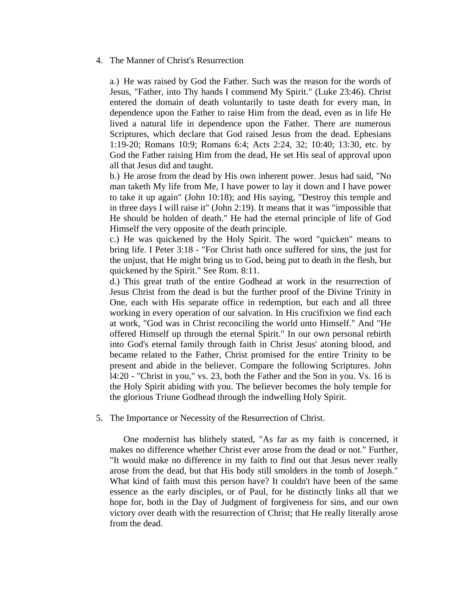## 4. The Manner of Christ's Resurrection

a.) He was raised by God the Father. Such was the reason for the words of Jesus, "Father, into Thy hands I commend My Spirit." (Luke 23:46). Christ entered the domain of death voluntarily to taste death for every man, in dependence upon the Father to raise Him from the dead, even as in life He lived a natural life in dependence upon the Father. There are numerous Scriptures, which declare that God raised Jesus from the dead. Ephesians 1:19-20; Romans 10:9; Romans 6:4; Acts 2:24, 32; 10:40; 13:30, etc. by God the Father raising Him from the dead, He set His seal of approval upon all that Jesus did and taught.

b.) He arose from the dead by His own inherent power. Jesus had said, "No man taketh My life from Me, I have power to lay it down and I have power to take it up again" (John 10:18); and His saying, "Destroy this temple and in three days I will raise it" (John 2:19). It means that it was "impossible that He should be holden of death." He had the eternal principle of life of God Himself the very opposite of the death principle.

c.) He was quickened by the Holy Spirit. The word "quicken" means to bring life. I Peter 3:18 - "For Christ hath once suffered for sins, the just for the unjust, that He might bring us to God, being put to death in the flesh, but quickened by the Spirit." See Rom. 8:11.

d.) This great truth of the entire Godhead at work in the resurrection of Jesus Christ from the dead is but the further proof of the Divine Trinity in One, each with His separate office in redemption, but each and all three working in every operation of our salvation. In His crucifixion we find each at work, "God was in Christ reconciling the world unto Himself." And "He offered Himself up through the eternal Spirit." In our own personal rebirth into God's eternal family through faith in Christ Jesus' atoning blood, and became related to the Father, Christ promised for the entire Trinity to be present and abide in the believer. Compare the following Scriptures. John l4:20 - "Christ in you," vs. 23, both the Father and the Son in you. Vs. 16 is the Holy Spirit abiding with you. The believer becomes the holy temple for the glorious Triune Godhead through the indwelling Holy Spirit.

### 5. The Importance or Necessity of the Resurrection of Christ.

 One modernist has blithely stated, "As far as my faith is concerned, it makes no difference whether Christ ever arose from the dead or not." Further, "It would make no difference in my faith to find out that Jesus never really arose from the dead, but that His body still smolders in the tomb of Joseph." What kind of faith must this person have? It couldn't have been of the same essence as the early disciples, or of Paul, for he distinctly links all that we hope for, both in the Day of Judgment of forgiveness for sins, and our own victory over death with the resurrection of Christ; that He really literally arose from the dead.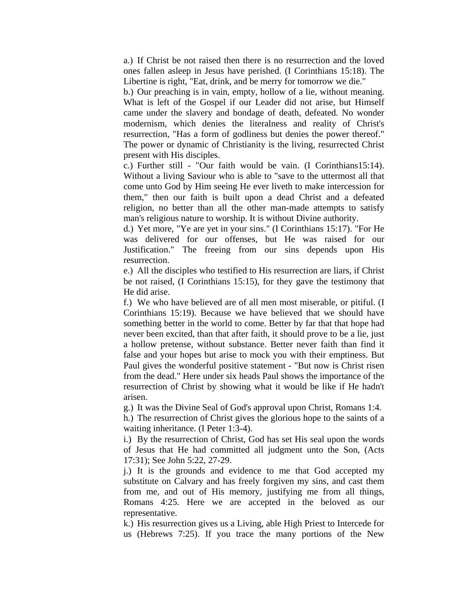a.) If Christ be not raised then there is no resurrection and the loved ones fallen asleep in Jesus have perished. (I Corinthians 15:18). The Libertine is right, "Eat, drink, and be merry for tomorrow we die."

b.) Our preaching is in vain, empty, hollow of a lie, without meaning. What is left of the Gospel if our Leader did not arise, but Himself came under the slavery and bondage of death, defeated. No wonder modernism, which denies the literalness and reality of Christ's resurrection, "Has a form of godliness but denies the power thereof." The power or dynamic of Christianity is the living, resurrected Christ present with His disciples.

c.) Further still - "Our faith would be vain. (I Corinthians15:14). Without a living Saviour who is able to "save to the uttermost all that come unto God by Him seeing He ever liveth to make intercession for them," then our faith is built upon a dead Christ and a defeated religion, no better than all the other man-made attempts to satisfy man's religious nature to worship. It is without Divine authority.

d.) Yet more, "Ye are yet in your sins." (I Corinthians 15:17). "For He was delivered for our offenses, but He was raised for our Justification." The freeing from our sins depends upon His resurrection.

e.) All the disciples who testified to His resurrection are liars, if Christ be not raised, (I Corinthians 15:15), for they gave the testimony that He did arise.

f.) We who have believed are of all men most miserable, or pitiful. (I Corinthians 15:19). Because we have believed that we should have something better in the world to come. Better by far that that hope had never been excited, than that after faith, it should prove to be a lie, just a hollow pretense, without substance. Better never faith than find it false and your hopes but arise to mock you with their emptiness. But Paul gives the wonderful positive statement - "But now is Christ risen from the dead." Here under six heads Paul shows the importance of the resurrection of Christ by showing what it would be like if He hadn't arisen.

g.) It was the Divine Seal of God's approval upon Christ, Romans 1:4.

h.) The resurrection of Christ gives the glorious hope to the saints of a waiting inheritance. (I Peter 1:3-4).

i.) By the resurrection of Christ, God has set His seal upon the words of Jesus that He had committed all judgment unto the Son, (Acts 17:31); See John 5:22, 27-29.

j.) It is the grounds and evidence to me that God accepted my substitute on Calvary and has freely forgiven my sins, and cast them from me, and out of His memory, justifying me from all things, Romans 4:25. Here we are accepted in the beloved as our representative.

k.) His resurrection gives us a Living, able High Priest to Intercede for us (Hebrews 7:25). If you trace the many portions of the New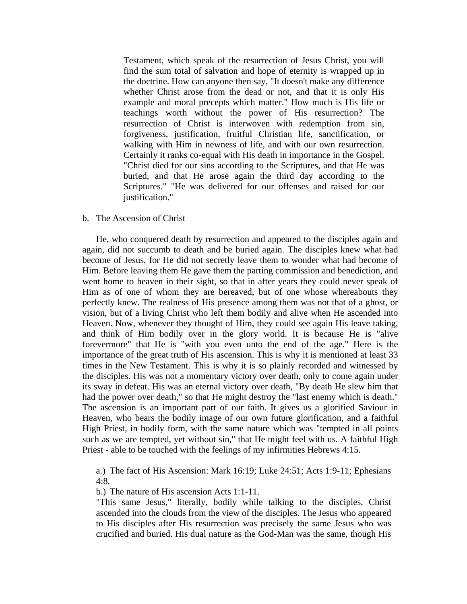Testament, which speak of the resurrection of Jesus Christ, you will find the sum total of salvation and hope of eternity is wrapped up in the doctrine. How can anyone then say, "It doesn't make any difference whether Christ arose from the dead or not, and that it is only His example and moral precepts which matter." How much is His life or teachings worth without the power of His resurrection? The resurrection of Christ is interwoven with redemption from sin, forgiveness, justification, fruitful Christian life, sanctification, or walking with Him in newness of life, and with our own resurrection. Certainly it ranks co-equal with His death in importance in the Gospel. "Christ died for our sins according to the Scriptures, and that He was buried, and that He arose again the third day according to the Scriptures." "He was delivered for our offenses and raised for our justification."

## b. The Ascension of Christ

 He, who conquered death by resurrection and appeared to the disciples again and again, did not succumb to death and be buried again. The disciples knew what had become of Jesus, for He did not secretly leave them to wonder what had become of Him. Before leaving them He gave them the parting commission and benediction, and went home to heaven in their sight, so that in after years they could never speak of Him as of one of whom they are bereaved, but of one whose whereabouts they perfectly knew. The realness of His presence among them was not that of a ghost, or vision, but of a living Christ who left them bodily and alive when He ascended into Heaven. Now, whenever they thought of Him, they could see again His leave taking, and think of Him bodily over in the glory world. It is because He is "alive forevermore" that He is "with you even unto the end of the age." Here is the importance of the great truth of His ascension. This is why it is mentioned at least 33 times in the New Testament. This is why it is so plainly recorded and witnessed by the disciples. His was not a momentary victory over death, only to come again under its sway in defeat. His was an eternal victory over death, "By death He slew him that had the power over death," so that He might destroy the "last enemy which is death." The ascension is an important part of our faith. It gives us a glorified Saviour in Heaven, who bears the bodily image of our own future glorification, and a faithful High Priest, in bodily form, with the same nature which was "tempted in all points such as we are tempted, yet without sin," that He might feel with us. A faithful High Priest - able to be touched with the feelings of my infirmities Hebrews 4:15.

a.) The fact of His Ascension: Mark 16:19; Luke 24:51; Acts 1:9-11; Ephesians 4:8.

b.) The nature of His ascension Acts 1:1-11.

"This same Jesus," literally, bodily while talking to the disciples, Christ ascended into the clouds from the view of the disciples. The Jesus who appeared to His disciples after His resurrection was precisely the same Jesus who was crucified and buried. His dual nature as the God-Man was the same, though His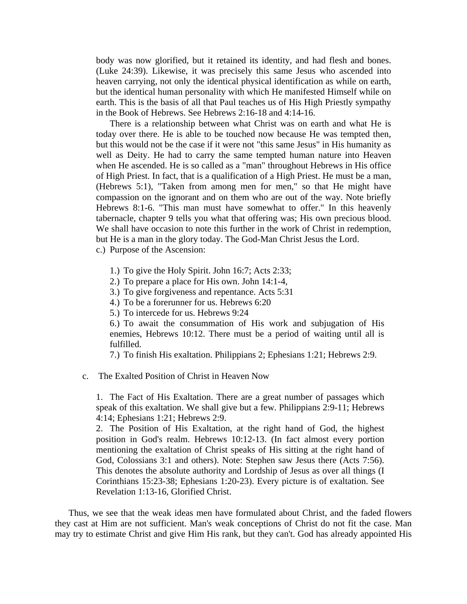body was now glorified, but it retained its identity, and had flesh and bones. (Luke 24:39). Likewise, it was precisely this same Jesus who ascended into heaven carrying, not only the identical physical identification as while on earth, but the identical human personality with which He manifested Himself while on earth. This is the basis of all that Paul teaches us of His High Priestly sympathy in the Book of Hebrews. See Hebrews 2:16-18 and 4:14-16.

 There is a relationship between what Christ was on earth and what He is today over there. He is able to be touched now because He was tempted then, but this would not be the case if it were not "this same Jesus" in His humanity as well as Deity. He had to carry the same tempted human nature into Heaven when He ascended. He is so called as a "man" throughout Hebrews in His office of High Priest. In fact, that is a qualification of a High Priest. He must be a man, (Hebrews 5:1), "Taken from among men for men," so that He might have compassion on the ignorant and on them who are out of the way. Note briefly Hebrews 8:1-6. "This man must have somewhat to offer." In this heavenly tabernacle, chapter 9 tells you what that offering was; His own precious blood. We shall have occasion to note this further in the work of Christ in redemption, but He is a man in the glory today. The God-Man Christ Jesus the Lord. c.) Purpose of the Ascension:

- 
- 1.) To give the Holy Spirit. John 16:7; Acts 2:33;
- 2.) To prepare a place for His own. John 14:1-4,
- 3.) To give forgiveness and repentance. Acts 5:31
- 4.) To be a forerunner for us. Hebrews 6:20
- 5.) To intercede for us. Hebrews 9:24

6.) To await the consummation of His work and subjugation of His enemies, Hebrews 10:12. There must be a period of waiting until all is fulfilled.

7.) To finish His exaltation. Philippians 2; Ephesians 1:21; Hebrews 2:9.

c. The Exalted Position of Christ in Heaven Now

1. The Fact of His Exaltation. There are a great number of passages which speak of this exaltation. We shall give but a few. Philippians 2:9-11; Hebrews 4:14; Ephesians 1:21; Hebrews 2:9.

2. The Position of His Exaltation, at the right hand of God, the highest position in God's realm. Hebrews 10:12-13. (In fact almost every portion mentioning the exaltation of Christ speaks of His sitting at the right hand of God, Colossians 3:1 and others). Note: Stephen saw Jesus there (Acts 7:56). This denotes the absolute authority and Lordship of Jesus as over all things (I Corinthians 15:23-38; Ephesians 1:20-23). Every picture is of exaltation. See Revelation 1:13-16, Glorified Christ.

 Thus, we see that the weak ideas men have formulated about Christ, and the faded flowers they cast at Him are not sufficient. Man's weak conceptions of Christ do not fit the case. Man may try to estimate Christ and give Him His rank, but they can't. God has already appointed His